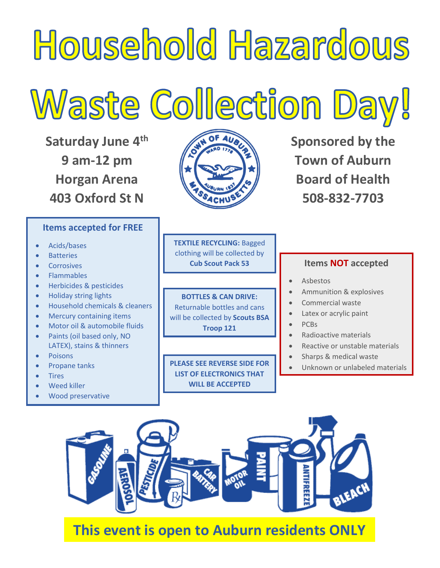

**Saturday June 4th 9 am-12 pm Horgan Arena 403 Oxford St N**

## **Items accepted for FREE**

- Acids/bases
- **Batteries**
- **Corrosives**
- Flammables
- Herbicides & pesticides
- Holiday string lights
- Household chemicals & cleaners
- Mercury containing items
- Motor oil & automobile fluids
- Paints (oil based only, NO LATEX), stains & thinners
- Poisons
- Propane tanks
- Tires
- Weed killer
- Wood preservative



**Sponsored by the Town of Auburn Board of Health 508-832-7703**

**TEXTILE RECYCLING:** Bagged clothing will be collected by **Cub Scout Pack 53**

**BOTTLES & CAN DRIVE:**  Returnable bottles and cans will be collected by **Scouts BSA Troop 121** 

**PLEASE SEE REVERSE SIDE FOR LIST OF ELECTRONICS THAT WILL BE ACCEPTED** 

## **Items NOT accepted**

- Asbestos
- Ammunition & explosives
- Commercial waste
- Latex or acrylic paint
- PCBs
- Radioactive materials
- Reactive or unstable materials
- Sharps & medical waste
- Unknown or unlabeled materials



## **This event is open to Auburn residents ONLY**